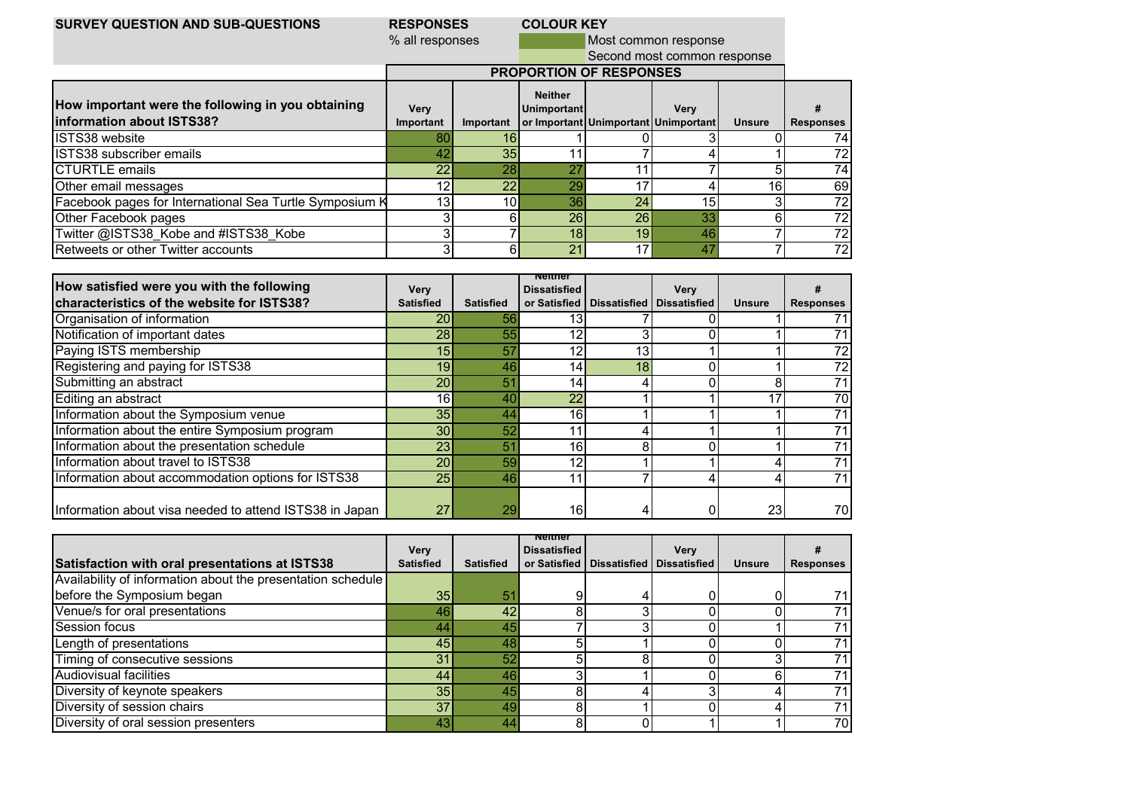## **RESPONSES COLOUR KEY**<br>% all responses

% all responses Most common response

Second most common response

|                                                                                 |                   |                 |                               | <b>PROPORTION OF RESPONSES</b> |                                                     |               |                  |
|---------------------------------------------------------------------------------|-------------------|-----------------|-------------------------------|--------------------------------|-----------------------------------------------------|---------------|------------------|
| How important were the following in you obtaining<br>linformation about ISTS38? | Verv<br>Important | Important       | <b>Neither</b><br>Unimportant |                                | <b>Verv</b><br>or Important Unimportant Unimportant | <b>Unsure</b> | <b>Responses</b> |
| ISTS38 website                                                                  | 80                |                 |                               |                                |                                                     |               | 74               |
| <b>ISTS38 subscriber emails</b>                                                 | 42                | 35              |                               |                                |                                                     |               |                  |
| <b>CTURTLE</b> emails                                                           | 22                | 28              | OT.                           |                                |                                                     |               | 74               |
| Other email messages                                                            | $12 \overline{ }$ | 22              | 29                            |                                |                                                     | 16            | 69               |
| Facebook pages for International Sea Turtle Symposium K                         | 13                | 10 <sup>1</sup> | 36                            | 24                             | 15 <sub>1</sub>                                     |               | 72               |
| Other Facebook pages                                                            |                   |                 | 26                            | 26                             |                                                     |               | 72               |
| Twitter @ISTS38 Kobe and #ISTS38 Kobe                                           |                   |                 | 18                            | 19 <sub>h</sub>                | 46                                                  |               | 72               |
| <b>Retweets or other Twitter accounts</b>                                       |                   |                 | 2 <sup>1</sup>                |                                |                                                     |               | 72               |

| How satisfied were you with the following               | <b>Very</b>      |                  | nenner<br><b>Dissatisfied</b> |                                            | Very |                 | Ħ                |
|---------------------------------------------------------|------------------|------------------|-------------------------------|--------------------------------------------|------|-----------------|------------------|
| characteristics of the website for ISTS38?              | <b>Satisfied</b> | <b>Satisfied</b> |                               | or Satisfied   Dissatisfied   Dissatisfied |      | <b>Unsure</b>   | <b>Responses</b> |
| Organisation of information                             | 20               | 56               | 13                            |                                            |      |                 |                  |
| Notification of important dates                         | 28               | 55               |                               |                                            |      |                 |                  |
| Paying ISTS membership                                  | 15               | 57               | 12                            | 13 <sub>1</sub>                            |      |                 | 72               |
| Registering and paying for ISTS38                       | 19               | 46               | 14                            | 18 <sub>1</sub>                            |      |                 | 72               |
| Submitting an abstract                                  | 20               | 51               | 14.                           |                                            |      | 8               |                  |
| Editing an abstract                                     | 16               | 40               | 22                            |                                            |      | 17              | 70               |
| Information about the Symposium venue                   | 35               | 44               | 16                            |                                            |      |                 |                  |
| Information about the entire Symposium program          | 30 <sub>1</sub>  | 52               |                               |                                            |      |                 |                  |
| Information about the presentation schedule             | 23               | 51               | 16                            | ດ                                          |      |                 |                  |
| Information about travel to ISTS38                      | 20               | 59               | 12                            |                                            |      |                 |                  |
| Information about accommodation options for ISTS38      | 25               | 46               | -11                           |                                            |      |                 |                  |
| Information about visa needed to attend ISTS38 in Japan | 27               | 29               | 16                            |                                            |      | 23 <sub>l</sub> | 70               |

|                                                             | <b>Very</b>      |                  | nenner<br><b>Dissatisfied</b> | Very                                       |               |                  |
|-------------------------------------------------------------|------------------|------------------|-------------------------------|--------------------------------------------|---------------|------------------|
| Satisfaction with oral presentations at ISTS38              | <b>Satisfied</b> | <b>Satisfied</b> |                               | or Satisfied   Dissatisfied   Dissatisfied | <b>Unsure</b> | <b>Responses</b> |
| Availability of information about the presentation schedule |                  |                  |                               |                                            |               |                  |
| before the Symposium began                                  | 35               | 51               |                               |                                            |               |                  |
| Venue/s for oral presentations                              | 46               | 42               |                               |                                            |               |                  |
| <b>Session focus</b>                                        | 44               | 45               |                               |                                            |               |                  |
| Length of presentations                                     | 45               | 48               |                               |                                            |               |                  |
| Timing of consecutive sessions                              | 31               | 52               |                               |                                            |               |                  |
| <b>Audiovisual facilities</b>                               | 44               | 46               |                               |                                            |               |                  |
| Diversity of keynote speakers                               | 35 <sub>1</sub>  | 45               |                               |                                            |               |                  |
| Diversity of session chairs                                 | 37               | 49               |                               |                                            |               |                  |
| Diversity of oral session presenters                        | 43               | 44               |                               |                                            |               | 70               |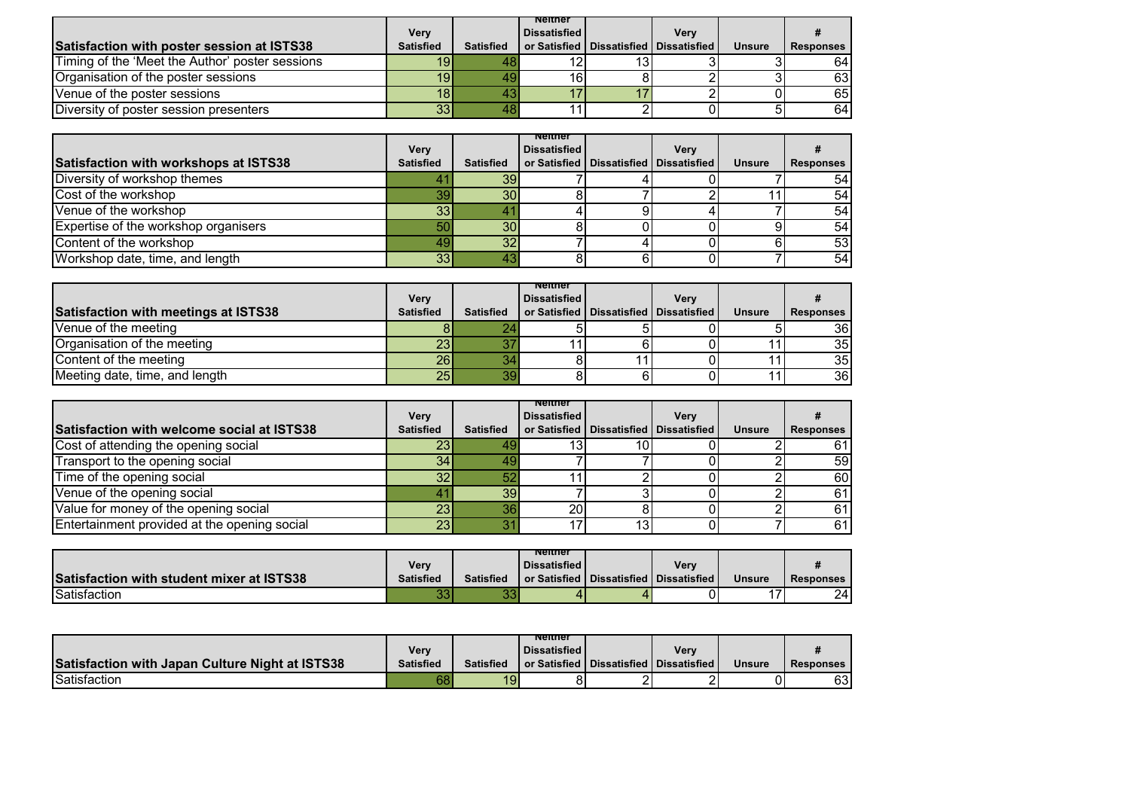|                                                 | <b>Very</b>      |                  | nenner<br><b>Dissatisfied</b> |                                            | Verv |               |                  |
|-------------------------------------------------|------------------|------------------|-------------------------------|--------------------------------------------|------|---------------|------------------|
| Satisfaction with poster session at ISTS38      | <b>Satisfied</b> | <b>Satisfied</b> |                               | or Satisfied   Dissatisfied   Dissatisfied |      | <b>Unsure</b> | <b>Responses</b> |
| Timing of the 'Meet the Author' poster sessions | 19               |                  |                               |                                            |      |               | 64               |
| Organisation of the poster sessions             | 19 <sup>l</sup>  |                  | 161                           |                                            |      |               | 63               |
| Venue of the poster sessions                    | 18               |                  |                               |                                            |      |               | 65               |
| Diversity of poster session presenters          | 33               |                  |                               |                                            |      |               | 64               |

|                                       | <b>Very</b>      |                  | nenner<br><b>Dissatisfied</b> | <b>Verv</b>                                |               |                  |
|---------------------------------------|------------------|------------------|-------------------------------|--------------------------------------------|---------------|------------------|
| Satisfaction with workshops at ISTS38 | <b>Satisfied</b> | <b>Satisfied</b> |                               | or Satisfied   Dissatisfied   Dissatisfied | <b>Unsure</b> | <b>Responses</b> |
| Diversity of workshop themes          |                  | 39               |                               |                                            |               | 54               |
| Cost of the workshop                  | 39               | 30               |                               |                                            |               | 54               |
| Venue of the workshop                 | 33               |                  |                               |                                            |               | 54               |
| Expertise of the workshop organisers  | 50               | 30               |                               |                                            |               | 54               |
| Content of the workshop               |                  | 32               |                               |                                            |               | 53               |
| Workshop date, time, and length       | 33               |                  |                               |                                            |               | 54               |

| <b>Satisfaction with meetings at ISTS38</b> | Very<br><b>Satisfied</b> | <b>Satisfied</b> | nenner<br><b>Dissatisfied</b> | Verv<br>or Satisfied   Dissatisfied   Dissatisfied | <b>Unsure</b> | <b>Responses</b> |
|---------------------------------------------|--------------------------|------------------|-------------------------------|----------------------------------------------------|---------------|------------------|
| Venue of the meeting                        |                          |                  |                               |                                                    |               | 36 I             |
| Organisation of the meeting                 | 23                       |                  |                               |                                                    |               | 35I              |
| Content of the meeting                      | 26                       |                  |                               |                                                    |               | 35 I             |
| Meeting date, time, and length              | 25                       | ЗS               |                               |                                                    |               | 36               |

|                                                   | Very             |                  | neither<br><b>Dissatisfied</b> |                                            | <b>Very</b> |               |                  |
|---------------------------------------------------|------------------|------------------|--------------------------------|--------------------------------------------|-------------|---------------|------------------|
| <b>Satisfaction with welcome social at ISTS38</b> | <b>Satisfied</b> | <b>Satisfied</b> |                                | or Satisfied   Dissatisfied   Dissatisfied |             | <b>Unsure</b> | <b>Responses</b> |
| Cost of attending the opening social              | 23               |                  |                                |                                            |             |               |                  |
| Transport to the opening social                   | 34               |                  |                                |                                            |             |               | 59 <sub>l</sub>  |
| Time of the opening social                        | 32               | 52               |                                |                                            |             |               | 60               |
| Venue of the opening social                       |                  | 39               |                                |                                            |             |               | 61               |
| Value for money of the opening social             | 23               | 36               | 20                             |                                            |             |               | 61               |
| Entertainment provided at the opening social      | 23 <sub>l</sub>  |                  |                                |                                            |             |               | 61               |

|                                           | Verv         |                  | nenner<br><b>Dissatisfied</b> | <b>Very</b>                                |               |                  |
|-------------------------------------------|--------------|------------------|-------------------------------|--------------------------------------------|---------------|------------------|
| Satisfaction with student mixer at ISTS38 | Satisfied    | <b>Satisfied</b> |                               | or Satisfied   Dissatisfied   Dissatisfied | <b>Unsure</b> | <b>Responses</b> |
| Satisfaction                              | $\sim$<br>υu | ັບບ              |                               |                                            | . –           | 24               |

|                                                        |           |                  | nemer               |                                                      |               |                  |
|--------------------------------------------------------|-----------|------------------|---------------------|------------------------------------------------------|---------------|------------------|
|                                                        | Very      |                  | <b>Dissatisfied</b> | <b>Verv</b>                                          |               |                  |
| <b>Satisfaction with Japan Culture Night at ISTS38</b> | Satisfied | <b>Satisfied</b> |                     | <b>Tor Satisfied   Dissatisfied   Dissatisfied  </b> | <b>Unsure</b> | <b>Responses</b> |
| Satisfaction                                           | 68        | 19               |                     |                                                      | JL            | 631              |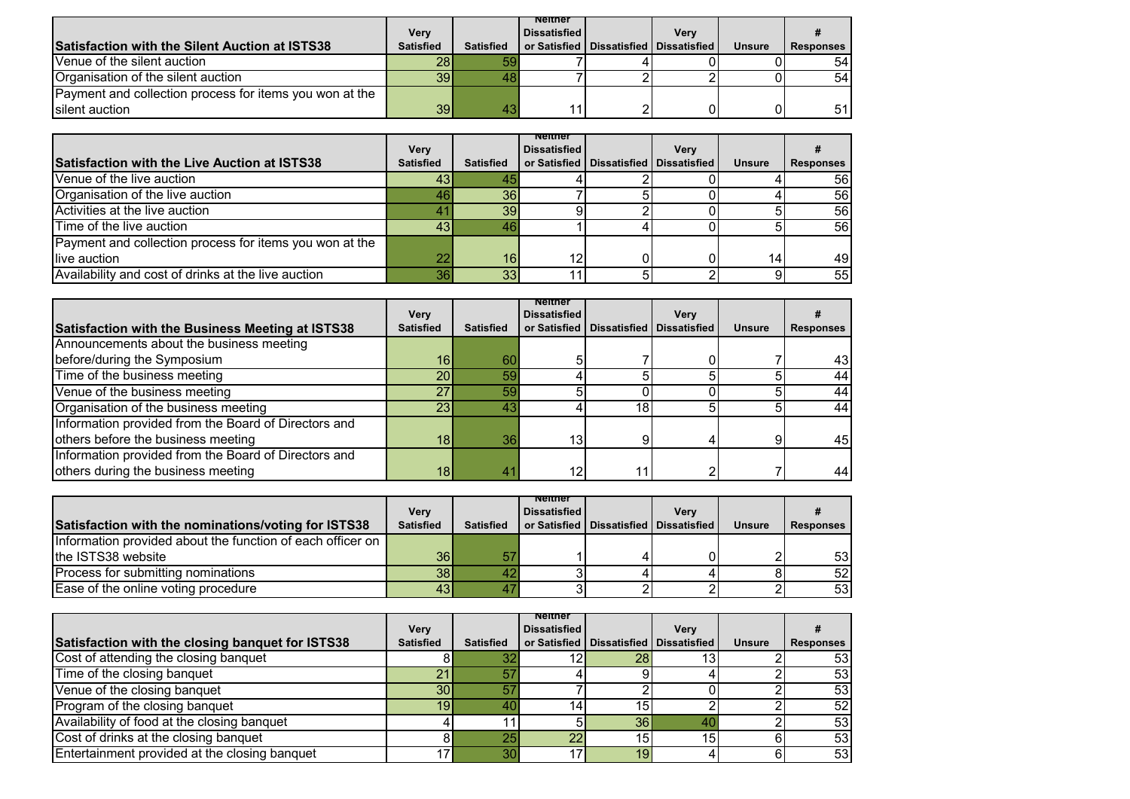| <b>Satisfaction with the Silent Auction at ISTS38</b>   | <b>Very</b><br><b>Satisfied</b> | <b>Satisfied</b> | nenner<br><b>Dissatisfied</b> | Verv<br>or Satisfied   Dissatisfied   Dissatisfied | <b>Unsure</b> | <b>Responses</b> |
|---------------------------------------------------------|---------------------------------|------------------|-------------------------------|----------------------------------------------------|---------------|------------------|
| Venue of the silent auction                             | 28I                             |                  |                               |                                                    |               | 54               |
| Organisation of the silent auction                      | <b>391</b>                      |                  |                               |                                                    |               | 54               |
| Payment and collection process for items you won at the |                                 |                  |                               |                                                    |               |                  |
| silent auction                                          | 39                              |                  |                               |                                                    |               | 51               |

| <b>Satisfaction with the Live Auction at ISTS38</b>     | <b>Very</b><br><b>Satisfied</b> | <b>Satisfied</b> | nenner<br><b>Dissatisfied</b> | <b>Very</b><br>or Satisfied   Dissatisfied   Dissatisfied | <b>Unsure</b> | <b>Responses</b> |
|---------------------------------------------------------|---------------------------------|------------------|-------------------------------|-----------------------------------------------------------|---------------|------------------|
| Venue of the live auction                               | 43                              |                  |                               |                                                           |               | 56               |
| Organisation of the live auction                        |                                 |                  |                               |                                                           |               |                  |
|                                                         | 46                              | 36               |                               |                                                           |               | 56               |
| Activities at the live auction                          |                                 | 39               |                               |                                                           |               | 56               |
| Time of the live auction                                | 43                              | 46               |                               |                                                           |               | 56               |
| Payment and collection process for items you won at the |                                 |                  |                               |                                                           |               |                  |
| live auction                                            | 22                              | 16               | 10                            |                                                           | 14            | 49               |
| Availability and cost of drinks at the live auction     | 36                              | 33               |                               |                                                           |               | 55               |

| <b>Satisfaction with the Business Meeting at ISTS38</b> | <b>Very</b><br><b>Satisfied</b> | <b>Satisfied</b> | nenner<br><b>Dissatisfied</b> |                 | <b>Very</b><br>or Satisfied   Dissatisfied   Dissatisfied | <b>Unsure</b> | <b>Responses</b> |
|---------------------------------------------------------|---------------------------------|------------------|-------------------------------|-----------------|-----------------------------------------------------------|---------------|------------------|
| Announcements about the business meeting                |                                 |                  |                               |                 |                                                           |               |                  |
| before/during the Symposium                             | 16                              | 60               |                               |                 |                                                           |               | 43               |
| Time of the business meeting                            | 20                              | 59               |                               |                 |                                                           |               | 44               |
| Venue of the business meeting                           | 27                              | 59               |                               |                 |                                                           |               | 44               |
| Organisation of the business meeting                    | 23 <sub>1</sub>                 | 43               |                               | 18 <sub>1</sub> |                                                           |               | 44               |
| Information provided from the Board of Directors and    |                                 |                  |                               |                 |                                                           |               |                  |
| others before the business meeting                      | 18                              | 36               | 13 <sub>1</sub>               |                 |                                                           |               | 45               |
| Information provided from the Board of Directors and    |                                 |                  |                               |                 |                                                           |               |                  |
| others during the business meeting                      | 18                              | 41               | 12                            |                 |                                                           |               | 44               |

| Satisfaction with the nominations/voting for ISTS38        | Very<br><b>Satisfied</b> | <b>Satisfied</b> | nenner<br><b>Dissatisfied</b> | <b>Verv</b><br>or Satisfied   Dissatisfied   Dissatisfied | <b>Unsure</b> | <b>Responses</b> |
|------------------------------------------------------------|--------------------------|------------------|-------------------------------|-----------------------------------------------------------|---------------|------------------|
| Information provided about the function of each officer on |                          |                  |                               |                                                           |               |                  |
| the ISTS38 website                                         | 36                       | 57               |                               |                                                           |               | 53 <sub>l</sub>  |
| Process for submitting nominations                         | 38                       |                  |                               |                                                           |               | 52               |
| Ease of the online voting procedure                        | 43                       |                  |                               |                                                           |               | 53               |

| Satisfaction with the closing banquet for ISTS38 | Very<br><b>Satisfied</b> | <b>Satisfied</b> | nenner<br><b>Dissatisfied</b> |                 | <b>Very</b><br>or Satisfied   Dissatisfied   Dissatisfied | <b>Unsure</b> | <b>Responses</b> |
|--------------------------------------------------|--------------------------|------------------|-------------------------------|-----------------|-----------------------------------------------------------|---------------|------------------|
| Cost of attending the closing banquet            |                          |                  |                               | 281             |                                                           |               | 53 <sub>l</sub>  |
| Time of the closing banquet                      | 21                       |                  |                               |                 |                                                           |               | 53               |
| Venue of the closing banquet                     | 30 <sub>l</sub>          |                  |                               |                 |                                                           |               | 53               |
| Program of the closing banquet                   | 19 <sup>1</sup>          |                  |                               | 15.             |                                                           |               | 52               |
| Availability of food at the closing banquet      |                          |                  |                               | 36 <sup>1</sup> |                                                           |               | 53               |
| Cost of drinks at the closing banquet            |                          |                  |                               | 15I             | 15                                                        |               | 53               |
| Entertainment provided at the closing banquet    |                          | 30               |                               | 19              |                                                           |               | 53               |